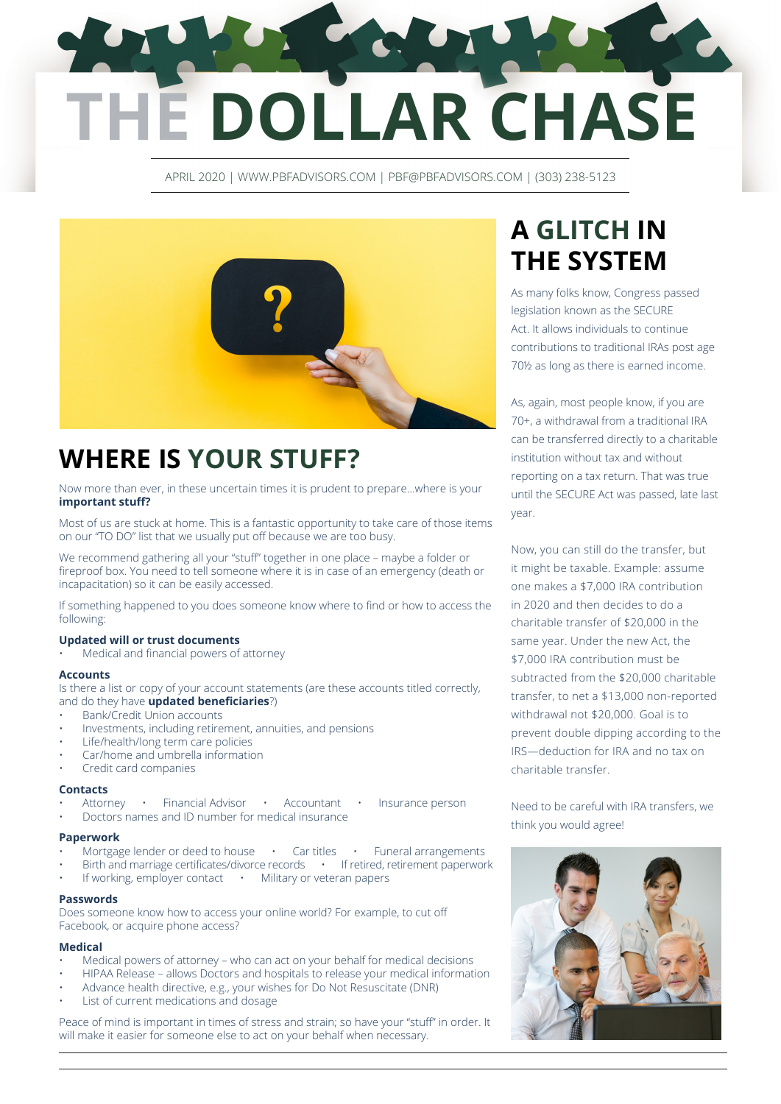# **E DOLLAR CHASE**

APRIL 2020 | WWW.PBFADVISORS.COM | PBF@PBFADVISORS.COM | (303) 238-5123



## **WHERE IS YOUR STUFF?**

Now more than ever, in these uncertain times it is prudent to prepare…where is your **important stuff?**

Most of us are stuck at home. This is a fantastic opportunity to take care of those items on our "TO DO" list that we usually put off because we are too busy.

We recommend gathering all your "stuff" together in one place – maybe a folder or fireproof box. You need to tell someone where it is in case of an emergency (death or incapacitation) so it can be easily accessed.

If something happened to you does someone know where to find or how to access the following:

#### **Updated will or trust documents**

• Medical and financial powers of attorney

#### **Accounts**

Is there a list or copy of your account statements (are these accounts titled correctly, and do they have **updated beneficiaries**?)

- Bank/Credit Union accounts
- Investments, including retirement, annuities, and pensions
- Life/health/long term care policies
- Car/home and umbrella information
- Credit card companies

#### **Contacts**

- Attorney Financial Advisor Accountant Insurance person
- Doctors names and ID number for medical insurance

#### **Paperwork**

- Mortgage lender or deed to house Car titles Funeral arrangements
- Birth and marriage certificates/divorce records · If retired, retirement paperwork
- If working, employer contact Military or veteran papers

#### **Passwords**

Does someone know how to access your online world? For example, to cut off Facebook, or acquire phone access?

#### **Medical**

- Medical powers of attorney who can act on your behalf for medical decisions
- HIPAA Release allows Doctors and hospitals to release your medical information
- Advance health directive, e.g., your wishes for Do Not Resuscitate (DNR)
- List of current medications and dosage

Peace of mind is important in times of stress and strain; so have your "stuff" in order. It will make it easier for someone else to act on your behalf when necessary.

## **A GLITCH IN THE SYSTEM**

As many folks know, Congress passed legislation known as the SECURE Act. It allows individuals to continue contributions to traditional IRAs post age 70½ as long as there is earned income.

As, again, most people know, if you are 70+, a withdrawal from a traditional IRA can be transferred directly to a charitable institution without tax and without reporting on a tax return. That was true until the SECURE Act was passed, late last year.

Now, you can still do the transfer, but it might be taxable. Example: assume one makes a \$7,000 IRA contribution in 2020 and then decides to do a charitable transfer of \$20,000 in the same year. Under the new Act, the \$7,000 IRA contribution must be subtracted from the \$20,000 charitable transfer, to net a \$13,000 non-reported withdrawal not \$20,000. Goal is to prevent double dipping according to the IRS—deduction for IRA and no tax on charitable transfer.

Need to be careful with IRA transfers, we think you would agree!